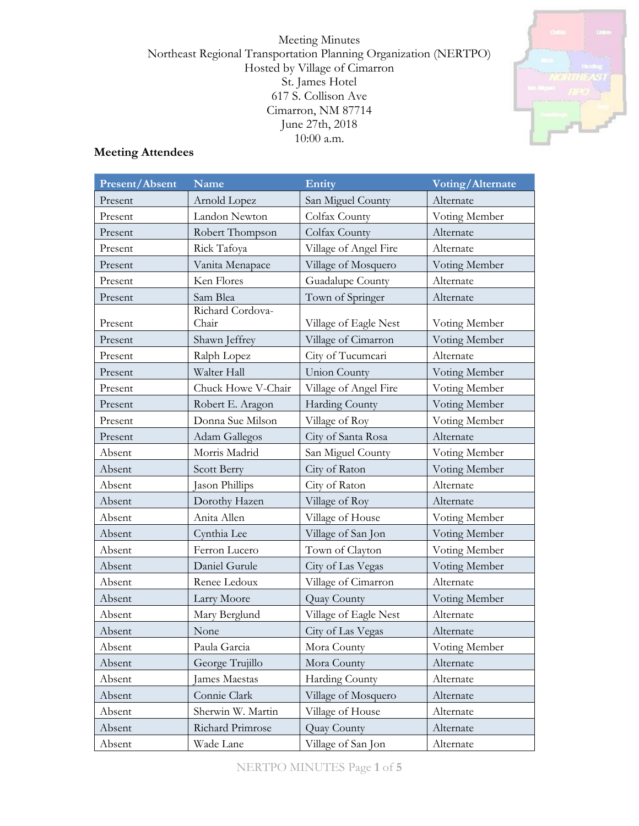Meeting Minutes Northeast Regional Transportation Planning Organization (NERTPO) Hosted by Village of Cimarron St. James Hotel 617 S. Collison Ave Cimarron, NM 87714 June 27th, 2018 10:00 a.m.



# **Meeting Attendees**

| Present/Absent | <b>Name</b>               | Entity                | Voting/Alternate |
|----------------|---------------------------|-----------------------|------------------|
| Present        | Arnold Lopez              | San Miguel County     | Alternate        |
| Present        | Landon Newton             | Colfax County         | Voting Member    |
| Present        | Robert Thompson           | Colfax County         | Alternate        |
| Present        | Rick Tafoya               | Village of Angel Fire | Alternate        |
| Present        | Vanita Menapace           | Village of Mosquero   | Voting Member    |
| Present        | Ken Flores                | Guadalupe County      | Alternate        |
| Present        | Sam Blea                  | Town of Springer      | Alternate        |
| Present        | Richard Cordova-<br>Chair | Village of Eagle Nest | Voting Member    |
| Present        | Shawn Jeffrey             | Village of Cimarron   | Voting Member    |
| Present        | Ralph Lopez               | City of Tucumcari     | Alternate        |
| Present        | Walter Hall               | Union County          | Voting Member    |
| Present        | Chuck Howe V-Chair        | Village of Angel Fire | Voting Member    |
| Present        | Robert E. Aragon          | <b>Harding County</b> | Voting Member    |
| Present        | Donna Sue Milson          | Village of Roy        | Voting Member    |
| Present        | Adam Gallegos             | City of Santa Rosa    | Alternate        |
| Absent         | Morris Madrid             | San Miguel County     | Voting Member    |
| Absent         | Scott Berry               | City of Raton         | Voting Member    |
| Absent         | Jason Phillips            | City of Raton         | Alternate        |
| Absent         | Dorothy Hazen             | Village of Roy        | Alternate        |
| Absent         | Anita Allen               | Village of House      | Voting Member    |
| Absent         | Cynthia Lee               | Village of San Jon    | Voting Member    |
| Absent         | Ferron Lucero             | Town of Clayton       | Voting Member    |
| Absent         | Daniel Gurule             | City of Las Vegas     | Voting Member    |
| Absent         | Renee Ledoux              | Village of Cimarron   | Alternate        |
| Absent         | Larry Moore               | Quay County           | Voting Member    |
| Absent         | Mary Berglund             | Village of Eagle Nest | Alternate        |
| Absent         | None                      | City of Las Vegas     | Alternate        |
| Absent         | Paula Garcia              | Mora County           | Voting Member    |
| Absent         | George Trujillo           | Mora County           | Alternate        |
| Absent         | James Maestas             | <b>Harding County</b> | Alternate        |
| Absent         | Connie Clark              | Village of Mosquero   | Alternate        |
| Absent         | Sherwin W. Martin         | Village of House      | Alternate        |
| Absent         | Richard Primrose          | Quay County           | Alternate        |
| Absent         | Wade Lane                 | Village of San Jon    | Alternate        |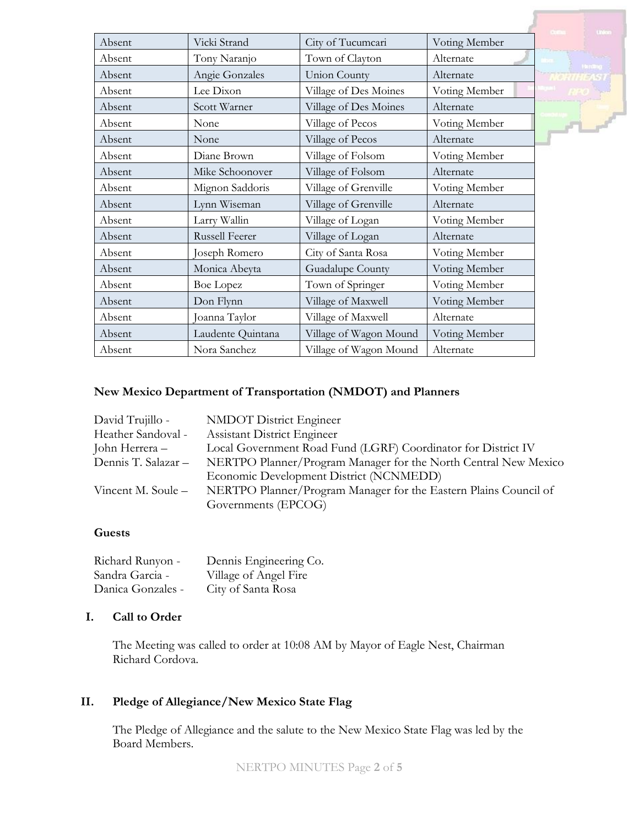|        |                   |                        |               | <b>United</b>    |
|--------|-------------------|------------------------|---------------|------------------|
| Absent | Vicki Strand      | City of Tucumcari      | Voting Member |                  |
| Absent | Tony Naranjo      | Town of Clayton        | Alternate     | <b>Thrilling</b> |
| Absent | Angie Gonzales    | <b>Union County</b>    | Alternate     |                  |
| Absent | Lee Dixon         | Village of Des Moines  | Voting Member |                  |
| Absent | Scott Warner      | Village of Des Moines  | Alternate     |                  |
| Absent | None              | Village of Pecos       | Voting Member | <b>Comment</b>   |
| Absent | None              | Village of Pecos       | Alternate     |                  |
| Absent | Diane Brown       | Village of Folsom      | Voting Member |                  |
| Absent | Mike Schoonover   | Village of Folsom      | Alternate     |                  |
| Absent | Mignon Saddoris   | Village of Grenville   | Voting Member |                  |
| Absent | Lynn Wiseman      | Village of Grenville   | Alternate     |                  |
| Absent | Larry Wallin      | Village of Logan       | Voting Member |                  |
| Absent | Russell Feerer    | Village of Logan       | Alternate     |                  |
| Absent | Joseph Romero     | City of Santa Rosa     | Voting Member |                  |
| Absent | Monica Abeyta     | Guadalupe County       | Voting Member |                  |
| Absent | Boe Lopez         | Town of Springer       | Voting Member |                  |
| Absent | Don Flynn         | Village of Maxwell     | Voting Member |                  |
| Absent | Joanna Taylor     | Village of Maxwell     | Alternate     |                  |
| Absent | Laudente Quintana | Village of Wagon Mound | Voting Member |                  |
| Absent | Nora Sanchez      | Village of Wagon Mound | Alternate     |                  |

# **New Mexico Department of Transportation (NMDOT) and Planners**

| <b>NMDOT</b> District Engineer                                   |
|------------------------------------------------------------------|
| Assistant District Engineer                                      |
| Local Government Road Fund (LGRF) Coordinator for District IV    |
| NERTPO Planner/Program Manager for the North Central New Mexico  |
| Economic Development District (NCNMEDD)                          |
| NERTPO Planner/Program Manager for the Eastern Plains Council of |
| Governments (EPCOG)                                              |
|                                                                  |

#### **Guests**

| Richard Runyon -  | Dennis Engineering Co. |
|-------------------|------------------------|
| Sandra Garcia -   | Village of Angel Fire  |
| Danica Gonzales - | City of Santa Rosa     |

## **I. Call to Order**

The Meeting was called to order at 10:08 AM by Mayor of Eagle Nest, Chairman Richard Cordova.

# **II. Pledge of Allegiance/New Mexico State Flag**

The Pledge of Allegiance and the salute to the New Mexico State Flag was led by the Board Members.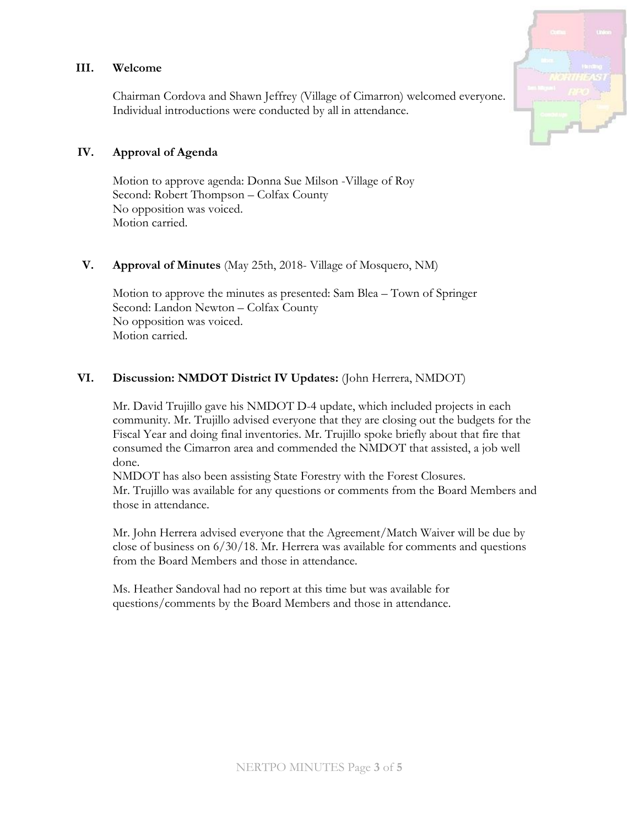#### **III. Welcome**

Chairman Cordova and Shawn Jeffrey (Village of Cimarron) welcomed everyone. Individual introductions were conducted by all in attendance.

### **IV. Approval of Agenda**

Motion to approve agenda: Donna Sue Milson -Village of Roy Second: Robert Thompson – Colfax County No opposition was voiced. Motion carried.

### **V. Approval of Minutes** (May 25th, 2018- Village of Mosquero, NM)

Motion to approve the minutes as presented: Sam Blea – Town of Springer Second: Landon Newton – Colfax County No opposition was voiced. Motion carried.

### **VI. Discussion: NMDOT District IV Updates:** (John Herrera, NMDOT)

Mr. David Trujillo gave his NMDOT D-4 update, which included projects in each community. Mr. Trujillo advised everyone that they are closing out the budgets for the Fiscal Year and doing final inventories. Mr. Trujillo spoke briefly about that fire that consumed the Cimarron area and commended the NMDOT that assisted, a job well done.

NMDOT has also been assisting State Forestry with the Forest Closures. Mr. Trujillo was available for any questions or comments from the Board Members and those in attendance.

Mr. John Herrera advised everyone that the Agreement/Match Waiver will be due by close of business on 6/30/18. Mr. Herrera was available for comments and questions from the Board Members and those in attendance.

Ms. Heather Sandoval had no report at this time but was available for questions/comments by the Board Members and those in attendance.

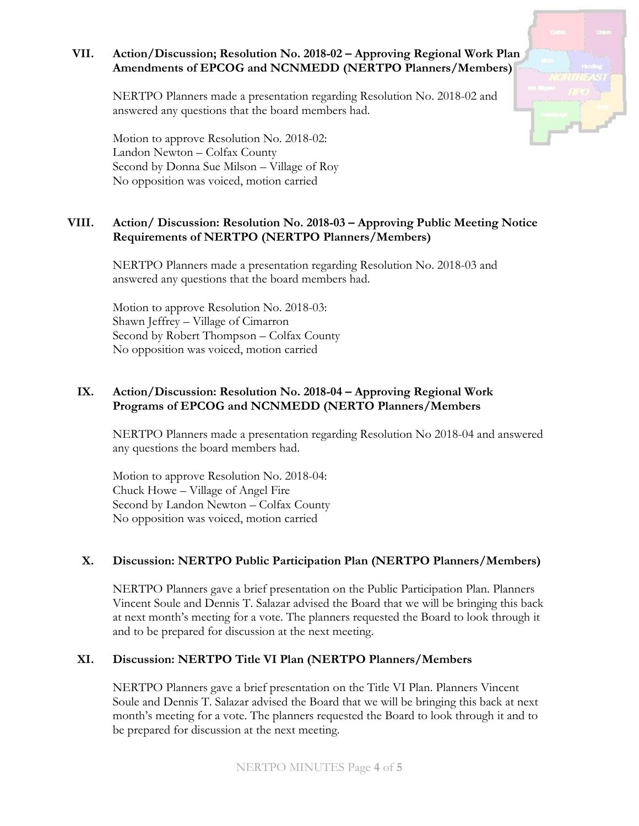## **VII. Action/Discussion; Resolution No. 2018-02 – Approving Regional Work Plan Amendments of EPCOG and NCNMEDD (NERTPO Planners/Members)**

NERTPO Planners made a presentation regarding Resolution No. 2018-02 and answered any questions that the board members had.

Motion to approve Resolution No. 2018-02: Landon Newton – Colfax County Second by Donna Sue Milson – Village of Roy No opposition was voiced, motion carried

### **VIII. Action/ Discussion: Resolution No. 2018-03 – Approving Public Meeting Notice Requirements of NERTPO (NERTPO Planners/Members)**

NERTPO Planners made a presentation regarding Resolution No. 2018-03 and answered any questions that the board members had.

Motion to approve Resolution No. 2018-03: Shawn Jeffrey – Village of Cimarron Second by Robert Thompson – Colfax County No opposition was voiced, motion carried

### **IX. Action/Discussion: Resolution No. 2018-04 – Approving Regional Work Programs of EPCOG and NCNMEDD (NERTO Planners/Members**

NERTPO Planners made a presentation regarding Resolution No 2018-04 and answered any questions the board members had.

Motion to approve Resolution No. 2018-04: Chuck Howe – Village of Angel Fire Second by Landon Newton – Colfax County No opposition was voiced, motion carried

### **X. Discussion: NERTPO Public Participation Plan (NERTPO Planners/Members)**

NERTPO Planners gave a brief presentation on the Public Participation Plan. Planners Vincent Soule and Dennis T. Salazar advised the Board that we will be bringing this back at next month's meeting for a vote. The planners requested the Board to look through it and to be prepared for discussion at the next meeting.

### **XI. Discussion: NERTPO Title VI Plan (NERTPO Planners/Members**

NERTPO Planners gave a brief presentation on the Title VI Plan. Planners Vincent Soule and Dennis T. Salazar advised the Board that we will be bringing this back at next month's meeting for a vote. The planners requested the Board to look through it and to be prepared for discussion at the next meeting.